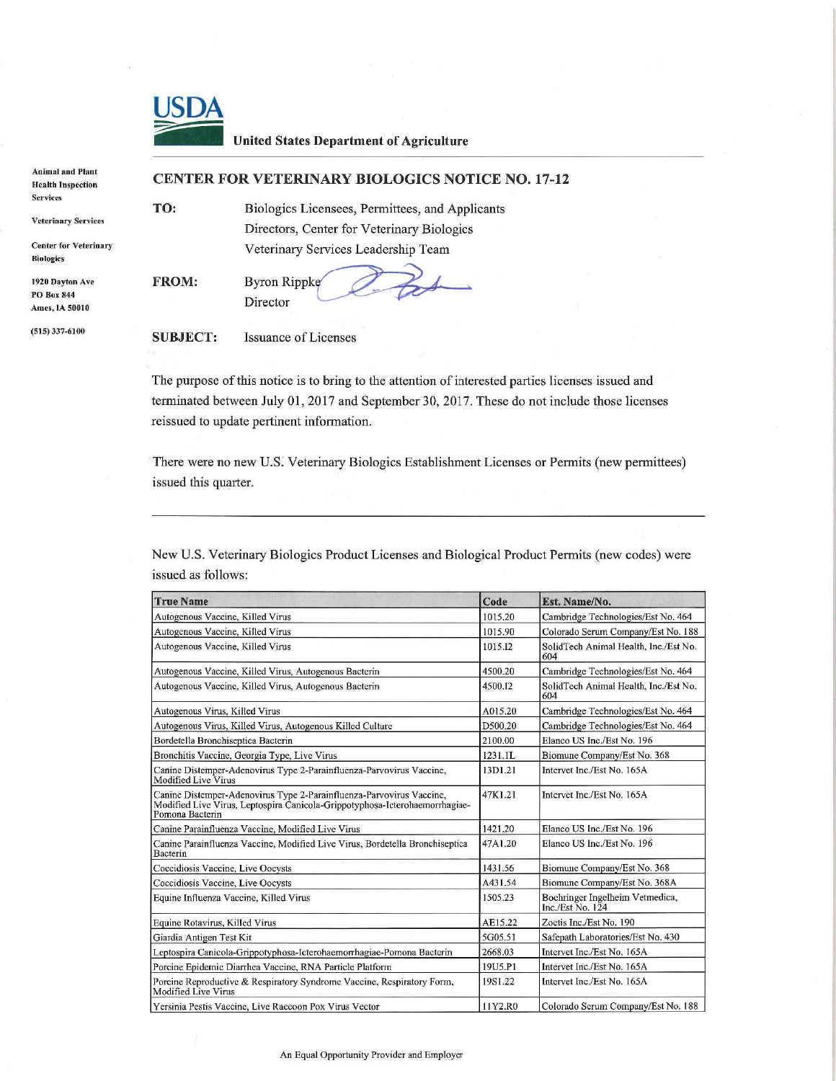

## United States Department of Agriculture

| Plant<br>ction | <b>CENTER FOR VETERINARY BIOLOGICS NOTICE NO. 17-12</b> |                                                 |  |  |
|----------------|---------------------------------------------------------|-------------------------------------------------|--|--|
|                | TO:                                                     | Biologics Licensees, Permittees, and Applicants |  |  |
| ervices        |                                                         | Directors, Center for Veterinary Biologics      |  |  |
| eterinary      |                                                         | Veterinary Services Leadership Team             |  |  |
| Ave            | <b>FROM:</b>                                            | Byron Rippke                                    |  |  |
| $\mathbf{A}$   |                                                         | Director                                        |  |  |

Animal and **Health Inspe** Services

Veterinary S

Center for V Biologies

1920 Dayton PO Box 844 Ames, IA 50010

(515)337-6100

SUBJECT: Issuance of Licenses

The purpose of this notice is to bring to the attention of interested parties licenses issued and terminated between July 01, 2017 and September 30, 2017. These do not include those licenses reissued to update pertinent information.

There were no new U.S. Veterinary Biologies Establishment Licenses or Permits (new permittees) issued this quarter.

New U.S. Veterinary Biologies Product Licenses and Biological Product Permits (new codes) were issued as follows:

| <b>True Name</b>                                                                                                                                                       | Code    | Est. Name/No.                                         |
|------------------------------------------------------------------------------------------------------------------------------------------------------------------------|---------|-------------------------------------------------------|
| Autogenous Vaccine, Killed Virus                                                                                                                                       |         | Cambridge Technologies/Est No. 464                    |
| Autogenous Vaccine, Killed Virus                                                                                                                                       |         | Colorado Serum Company/Est No. 188                    |
| Autogenous Vaccine, Killed Virus                                                                                                                                       |         | SolidTech Animal Health, Inc./Est No.<br>604          |
| Autogenous Vaccine, Killed Virus, Autogenous Bacterin                                                                                                                  |         | Cambridge Technologies/Est No. 464                    |
| Autogenous Vaccine, Killed Virus, Autogenous Bacterin                                                                                                                  |         | SolidTech Animal Health, Inc./Est No.<br>604          |
| Autogenous Virus, Killed Virus                                                                                                                                         |         | Cambridge Technologies/Est No. 464                    |
| Autogenous Virus, Killed Virus, Autogenous Killed Culture                                                                                                              |         | Cambridge Technologies/Est No. 464                    |
| Bordetella Bronchiseptica Bacterin                                                                                                                                     |         | Elanco US Inc./Est No. 196                            |
| Bronchitis Vaccine, Georgia Type, Live Virus                                                                                                                           |         | Biomune Company/Est No. 368                           |
| Canine Distemper-Adenovirus Type 2-Parainfluenza-Parvovirus Vaccine,<br><b>Modified Live Virus</b>                                                                     |         | Intervet Inc./Est No. 165A                            |
| Canine Distemper-Adenovirus Type 2-Parainfluenza-Parvovirus Vaccine,<br>Modified Live Virus, Leptospira Canicola-Grippotyphosa-Icterohaemorrhagiae-<br>Pomona Bacterin |         | Intervet Inc./Est No. 165A                            |
| Canine Parainfluenza Vaccine, Modified Live Virus                                                                                                                      | 1421.20 | Elanco US Inc./Est No. 196                            |
| Canine Parainfluenza Vaccine, Modified Live Virus, Bordetella Bronchiseptica<br>Bacterin                                                                               |         | Elanco US Inc./Est No. 196                            |
| Coccidiosis Vaccine, Live Oocysts                                                                                                                                      |         | Biomune Company/Est No. 368                           |
| Coccidiosis Vaccine, Live Oocysts                                                                                                                                      |         | Biomune Company/Est No. 368A                          |
| Equine Influenza Vaccine, Killed Virus                                                                                                                                 |         | Boehringer Ingelheim Vetmedica,<br>Inc./Est $No. 124$ |
| Equine Rotavirus, Killed Virus                                                                                                                                         |         | Zoetis Inc./Est No. 190                               |
| Giardia Antigen Test Kit                                                                                                                                               |         | Safepath Laboratories/Est No. 430                     |
| Leptospira Canicola-Grippotyphosa-Icterohaemorrhagiae-Pomona Bacterin                                                                                                  |         | Intervet Inc./Est No. 165A                            |
| Porcine Epidemic Diarrhea Vaccine, RNA Particle Platform                                                                                                               |         | Intervet Inc./Est No. 165A                            |
| Porcine Reproductive & Respiratory Syndrome Vaccine, Respiratory Form,<br>Modified Live Virus                                                                          |         | Intervet Inc./Est No. 165A                            |
| Yersinia Pestis Vaccine, Live Raccoon Pox Virus Vector                                                                                                                 |         | Colorado Serum Company/Est No. 188                    |